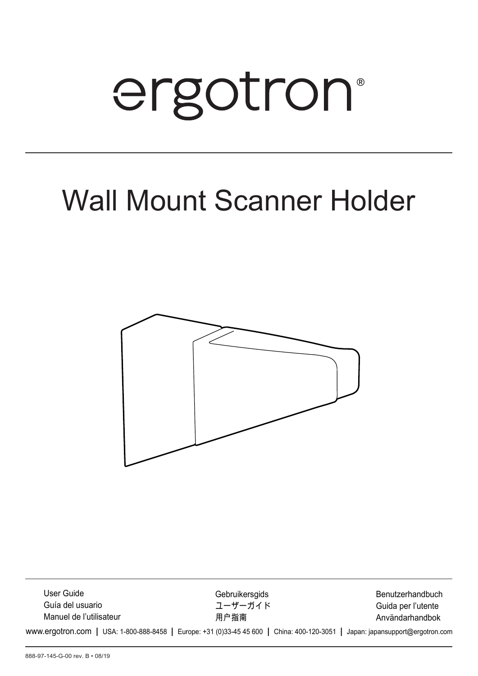# ergotron®

# Wall Mount Scanner Holder



www.ergotron.com **|** USA: 1-800-888-8458 **|** Europe: +31 (0)33-45 45 600 **|** China: 400-120-3051 **|** Japan: japansupport@ergotron.com Användarhandbok Guida per l'utente Benutzerhandbuch 用户指南 ユーザーガイド **Gebruikersgids** Manuel de l'utilisateur Guía del usuario User Guide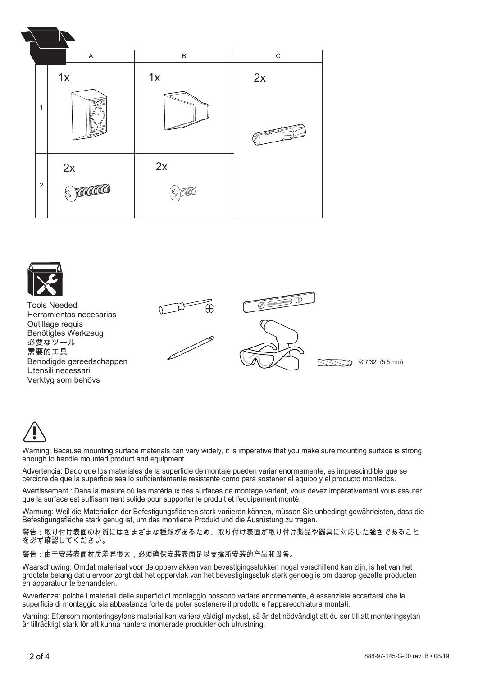





Warning: Because mounting surface materials can vary widely, it is imperative that you make sure mounting surface is strong enough to handle mounted product and equipment.

Advertencia: Dado que los materiales de la superficie de montaje pueden variar enormemente, es imprescindible que se cerciore de que la superficie sea lo suficientemente resistente como para sostener el equipo y el producto montados.

Avertissement : Dans la mesure où les matériaux des surfaces de montage varient, vous devez impérativement vous assurer que la surface est suffisamment solide pour supporter le produit et l'équipement monté.

Warnung: Weil die Materialien der Befestigungsflächen stark variieren können, müssen Sie unbedingt gewährleisten, dass die Befestigungsfläche stark genug ist, um das montierte Produkt und die Ausrüstung zu tragen.

警告:取り付け表面の材質にはさまざまな種類があるため、取り付け表面が取り付け製品や器具に対応した強さであること を必ず確認してください。

# 警告:由于安装表面材质差异很大,必须确保安装表面足以支撑所安装的产品和设备。

Waarschuwing: Omdat materiaal voor de oppervlakken van bevestigingsstukken nogal verschillend kan zijn, is het van het grootste belang dat u ervoor zorgt dat het oppervlak van het bevestigingsstuk sterk genoeg is om daarop gezette producten en apparatuur te behandelen.

Avvertenza: poiché i materiali delle superfici di montaggio possono variare enormemente, è essenziale accertarsi che la superficie di montaggio sia abbastanza forte da poter sostenere il prodotto e l'apparecchiatura montati.

Varning: Eftersom monteringsytans material kan variera väldigt mycket, så är det nödvändigt att du ser till att monteringsytan är tillräckligt stark för att kunna hantera monterade produkter och utrustning.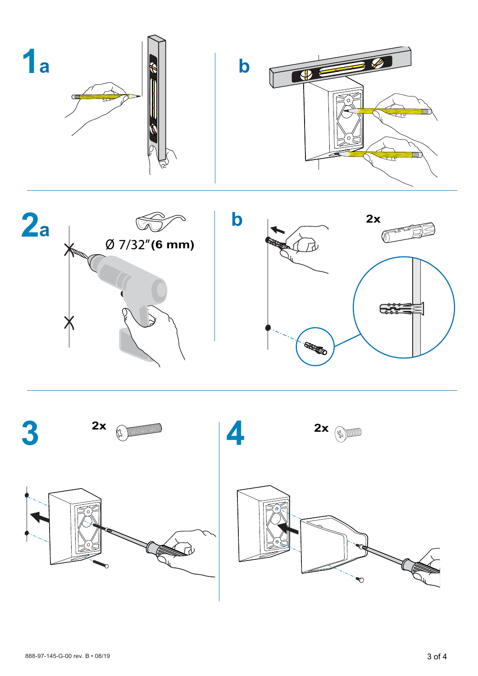